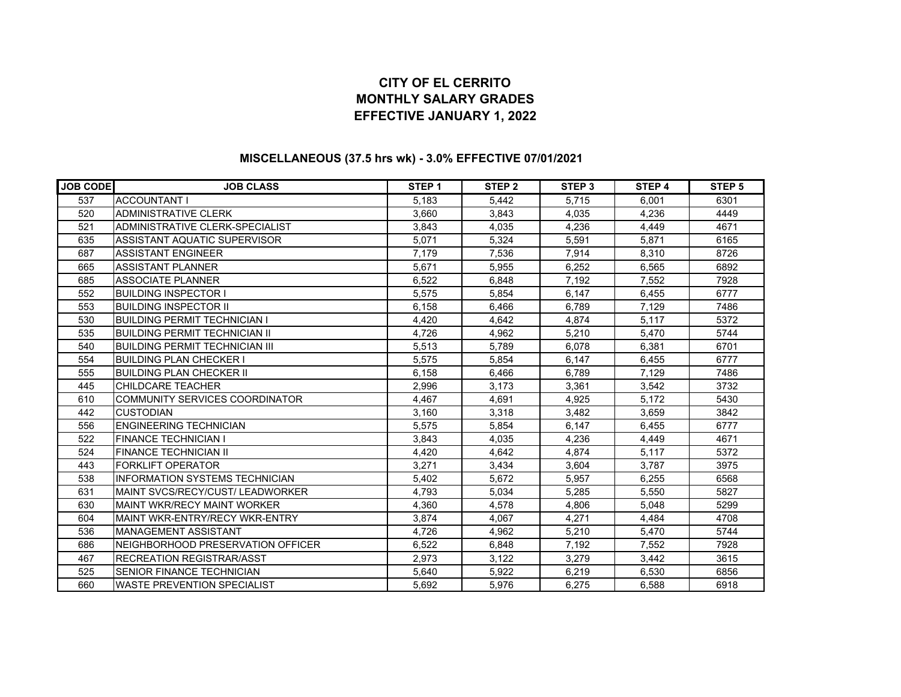# **CITY OF EL CERRITO MONTHLY SALARY GRADES EFFECTIVE JANUARY 1, 2022**

## **MISCELLANEOUS (37.5 hrs wk) - 3.0% EFFECTIVE 07/01/2021**

| <b>JOB CODE</b> | <b>JOB CLASS</b>                      | STEP <sub>1</sub> | STEP <sub>2</sub> | STEP <sub>3</sub> | STEP <sub>4</sub> | STEP <sub>5</sub> |
|-----------------|---------------------------------------|-------------------|-------------------|-------------------|-------------------|-------------------|
| 537             | <b>ACCOUNTANT I</b>                   | 5.183             | 5,442             | 5,715             | 6.001             | 6301              |
| 520             | <b>ADMINISTRATIVE CLERK</b>           | 3.660             | 3.843             | 4.035             | 4.236             | 4449              |
| 521             | ADMINISTRATIVE CLERK-SPECIALIST       | 3,843             | 4,035             | 4,236             | 4,449             | 4671              |
| 635             | ASSISTANT AQUATIC SUPERVISOR          | 5.071             | 5,324             | 5,591             | 5.871             | 6165              |
| 687             | <b>ASSISTANT ENGINEER</b>             | 7,179             | 7,536             | 7.914             | 8.310             | 8726              |
| 665             | <b>ASSISTANT PLANNER</b>              | 5,671             | 5,955             | 6,252             | 6,565             | 6892              |
| 685             | ASSOCIATE PLANNER                     | 6.522             | 6.848             | 7.192             | 7.552             | 7928              |
| 552             | <b>BUILDING INSPECTOR I</b>           | 5,575             | 5.854             | 6.147             | 6,455             | 6777              |
| 553             | <b>BUILDING INSPECTOR II</b>          | 6,158             | 6,466             | 6,789             | 7,129             | 7486              |
| 530             | <b>BUILDING PERMIT TECHNICIAN I</b>   | 4.420             | 4.642             | 4.874             | 5.117             | 5372              |
| 535             | <b>BUILDING PERMIT TECHNICIAN II</b>  | 4,726             | 4,962             | 5,210             | 5,470             | 5744              |
| 540             | <b>BUILDING PERMIT TECHNICIAN III</b> | 5,513             | 5,789             | 6,078             | 6,381             | 6701              |
| 554             | <b>BUILDING PLAN CHECKER I</b>        | 5.575             | 5.854             | 6.147             | 6,455             | 6777              |
| 555             | <b>BUILDING PLAN CHECKER II</b>       | 6,158             | 6,466             | 6,789             | 7,129             | 7486              |
| 445             | <b>CHILDCARE TEACHER</b>              | 2.996             | 3.173             | 3.361             | 3.542             | 3732              |
| 610             | COMMUNITY SERVICES COORDINATOR        | 4.467             | 4.691             | 4,925             | 5,172             | 5430              |
| 442             | <b>CUSTODIAN</b>                      | 3,160             | 3,318             | 3,482             | 3,659             | 3842              |
| 556             | <b>ENGINEERING TECHNICIAN</b>         | 5.575             | 5.854             | 6.147             | 6.455             | 6777              |
| 522             | <b>FINANCE TECHNICIAN I</b>           | 3,843             | 4,035             | 4,236             | 4,449             | 4671              |
| 524             | <b>FINANCE TECHNICIAN II</b>          | 4,420             | 4,642             | 4,874             | 5,117             | 5372              |
| 443             | <b>FORKLIFT OPERATOR</b>              | 3.271             | 3.434             | 3.604             | 3.787             | 3975              |
| 538             | <b>INFORMATION SYSTEMS TECHNICIAN</b> | 5,402             | 5,672             | 5,957             | 6,255             | 6568              |
| 631             | MAINT SVCS/RECY/CUST/ LEADWORKER      | 4,793             | 5,034             | 5,285             | 5,550             | 5827              |
| 630             | MAINT WKR/RECY MAINT WORKER           | 4,360             | 4,578             | 4,806             | 5,048             | 5299              |
| 604             | MAINT WKR-ENTRY/RECY WKR-ENTRY        | 3.874             | 4.067             | 4.271             | 4,484             | 4708              |
| 536             | <b>MANAGEMENT ASSISTANT</b>           | 4,726             | 4,962             | 5,210             | 5,470             | 5744              |
| 686             | NEIGHBORHOOD PRESERVATION OFFICER     | 6.522             | 6,848             | 7,192             | 7,552             | 7928              |
| 467             | <b>RECREATION REGISTRAR/ASST</b>      | 2,973             | 3,122             | 3,279             | 3,442             | 3615              |
| 525             | <b>SENIOR FINANCE TECHNICIAN</b>      | 5,640             | 5,922             | 6,219             | 6.530             | 6856              |
| 660             | <b>IWASTE PREVENTION SPECIALIST</b>   | 5.692             | 5.976             | 6.275             | 6.588             | 6918              |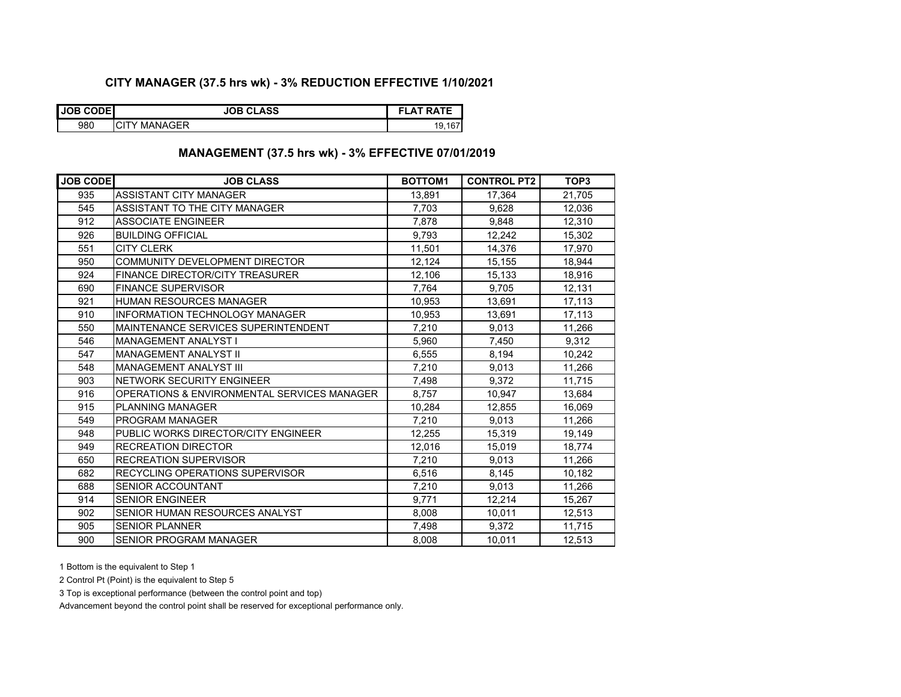## **CITY MANAGER (37.5 hrs wk) - 3% REDUCTION EFFECTIVE 1/10/2021**

| <b>JOB CODE</b> | <b>JOB CLASS</b> | <b>RATE</b><br>EL. |
|-----------------|------------------|--------------------|
| 980             | MANAGER          | .167<br>19.        |

# **MANAGEMENT (37.5 hrs wk) - 3% EFFECTIVE 07/01/2019**

| <b>JOB CODE</b> | <b>JOB CLASS</b>                            | BOTTOM1 | <b>CONTROL PT2</b> | TOP3   |
|-----------------|---------------------------------------------|---------|--------------------|--------|
| 935             | ASSISTANT CITY MANAGER                      | 13,891  | 17,364             | 21,705 |
| 545             | ASSISTANT TO THE CITY MANAGER               | 7.703   | 9,628              | 12.036 |
| 912             | <b>ASSOCIATE ENGINEER</b>                   | 7,878   | 9,848              | 12,310 |
| 926             | <b>BUILDING OFFICIAL</b>                    | 9,793   | 12,242             | 15,302 |
| 551             | <b>CITY CLERK</b>                           | 11,501  | 14,376             | 17,970 |
| 950             | COMMUNITY DEVELOPMENT DIRECTOR              | 12,124  | 15,155             | 18,944 |
| 924             | <b>FINANCE DIRECTOR/CITY TREASURER</b>      | 12,106  | 15,133             | 18,916 |
| 690             | <b>FINANCE SUPERVISOR</b>                   | 7,764   | 9,705              | 12,131 |
| 921             | <b>HUMAN RESOURCES MANAGER</b>              | 10,953  | 13,691             | 17,113 |
| 910             | INFORMATION TECHNOLOGY MANAGER              | 10,953  | 13,691             | 17,113 |
| 550             | <b>MAINTENANCE SERVICES SUPERINTENDENT</b>  | 7,210   | 9,013              | 11,266 |
| 546             | <b>MANAGEMENT ANALYST I</b>                 | 5,960   | 7,450              | 9,312  |
| 547             | <b>MANAGEMENT ANALYST II</b>                | 6,555   | 8,194              | 10,242 |
| 548             | <b>MANAGEMENT ANALYST III</b>               | 7,210   | 9,013              | 11,266 |
| 903             | NETWORK SECURITY ENGINEER                   | 7,498   | 9,372              | 11,715 |
| 916             | OPERATIONS & ENVIRONMENTAL SERVICES MANAGER | 8,757   | 10,947             | 13,684 |
| 915             | <b>PLANNING MANAGER</b>                     | 10,284  | 12,855             | 16,069 |
| 549             | PROGRAM MANAGER                             | 7.210   | 9,013              | 11,266 |
| 948             | PUBLIC WORKS DIRECTOR/CITY ENGINEER         | 12,255  | 15,319             | 19,149 |
| 949             | <b>RECREATION DIRECTOR</b>                  | 12,016  | 15,019             | 18,774 |
| 650             | <b>RECREATION SUPERVISOR</b>                | 7,210   | 9.013              | 11,266 |
| 682             | RECYCLING OPERATIONS SUPERVISOR             | 6,516   | 8,145              | 10,182 |
| 688             | <b>SENIOR ACCOUNTANT</b>                    | 7.210   | 9,013              | 11,266 |
| 914             | <b>SENIOR ENGINEER</b>                      | 9.771   | 12,214             | 15.267 |
| 902             | SENIOR HUMAN RESOURCES ANALYST              | 8,008   | 10,011             | 12,513 |
| 905             | <b>SENIOR PLANNER</b>                       | 7,498   | 9,372              | 11,715 |
| 900             | SENIOR PROGRAM MANAGER                      | 8.008   | 10.011             | 12.513 |

1 Bottom is the equivalent to Step 1

2 Control Pt (Point) is the equivalent to Step 5

3 Top is exceptional performance (between the control point and top)

Advancement beyond the control point shall be reserved for exceptional performance only.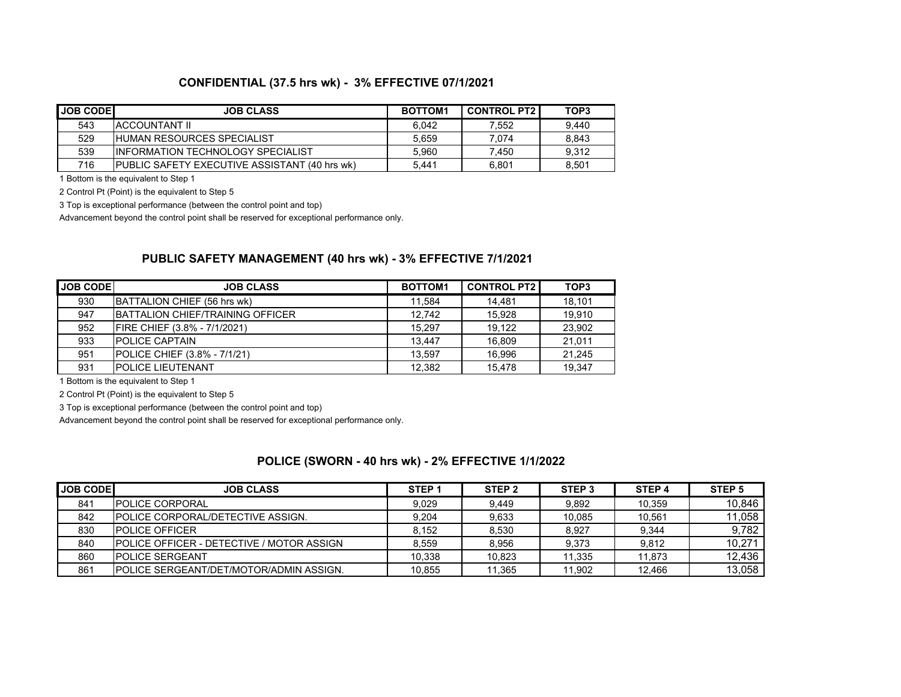#### **CONFIDENTIAL (37.5 hrs wk) - 3% EFFECTIVE 07/1/2021**

| <b>JOB CODE</b> | <b>JOB CLASS</b>                                      | <b>BOTTOM1</b> | <b>CONTROL PT2</b> | TOP3  |
|-----------------|-------------------------------------------------------|----------------|--------------------|-------|
| 543             | <b>IACCOUNTANT II</b>                                 | 6.042          | 7.552              | 9.440 |
| 529             | <b>HUMAN RESOURCES SPECIALIST</b>                     | 5.659          | 7.074              | 8.843 |
| 539             | <b>IINFORMATION TECHNOLOGY SPECIALIST</b>             | 5.960          | 7.450              | 9.312 |
| 716             | <b>IPUBLIC SAFETY EXECUTIVE ASSISTANT (40 hrs wk)</b> | 5.441          | 6.801              | 8.501 |

1 Bottom is the equivalent to Step 1

2 Control Pt (Point) is the equivalent to Step 5

3 Top is exceptional performance (between the control point and top)

Advancement beyond the control point shall be reserved for exceptional performance only.

### **PUBLIC SAFETY MANAGEMENT (40 hrs wk) - 3% EFFECTIVE 7/1/2021**

| <b>JOB CODE</b> | <b>JOB CLASS</b>                 | <b>BOTTOM1</b> | <b>CONTROL PT2</b> | TOP3   |
|-----------------|----------------------------------|----------------|--------------------|--------|
| 930             | BATTALION CHIEF (56 hrs wk)      | 11.584         | 14.481             | 18,101 |
| 947             | BATTALION CHIEF/TRAINING OFFICER | 12.742         | 15.928             | 19.910 |
| 952             | FIRE CHIEF (3.8% - 7/1/2021)     | 15.297         | 19.122             | 23,902 |
| 933             | <b>POLICE CAPTAIN</b>            | 13.447         | 16.809             | 21.011 |
| 951             | POLICE CHIEF (3.8% - 7/1/21)     | 13.597         | 16.996             | 21.245 |
| 931             | <b>POLICE LIEUTENANT</b>         | 12.382         | 15.478             | 19.347 |

1 Bottom is the equivalent to Step 1

2 Control Pt (Point) is the equivalent to Step 5

3 Top is exceptional performance (between the control point and top)

Advancement beyond the control point shall be reserved for exceptional performance only.

## **POLICE (SWORN - 40 hrs wk) - 2% EFFECTIVE 1/1/2022**

| <b>JOB CODEI</b> | <b>JOB CLASS</b>                                  | STEP <sub>1</sub> | STEP <sub>2</sub> | STEP <sub>3</sub> | STEP <sub>4</sub> | STEP <sub>5</sub> |
|------------------|---------------------------------------------------|-------------------|-------------------|-------------------|-------------------|-------------------|
| 841              | <b>IPOLICE CORPORAL</b>                           | 9.029             | 9.449             | 9.892             | 10,359            | 10.846            |
| 842              | <b>IPOLICE CORPORAL/DETECTIVE ASSIGN.</b>         | 9.204             | 9.633             | 10.085            | 10.561            | 11.058            |
| 830              | <b>IPOLICE OFFICER</b>                            | 8.152             | 8.530             | 8.927             | 9.344             | 9.782             |
| 840              | <b>IPOLICE OFFICER - DETECTIVE / MOTOR ASSIGN</b> | 8.559             | 8.956             | 9.373             | 9.812             | 10.271            |
| 860              | <b>IPOLICE SERGEANT</b>                           | 10.338            | 10.823            | 11.335            | 11.873            | 12.436            |
| 861              | <b>IPOLICE SERGEANT/DET/MOTOR/ADMIN ASSIGN.</b>   | 10.855            | 11.365            | 11.902            | 12.466            | 13.058            |